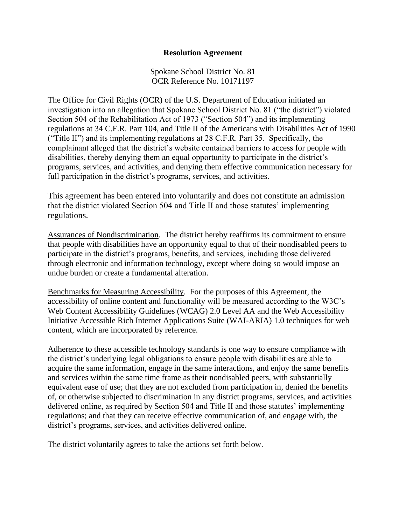## **Resolution Agreement**

Spokane School District No. 81 OCR Reference No. 10171197

The Office for Civil Rights (OCR) of the U.S. Department of Education initiated an investigation into an allegation that Spokane School District No. 81 ("the district") violated Section 504 of the Rehabilitation Act of 1973 ("Section 504") and its implementing regulations at 34 C.F.R. Part 104, and Title II of the Americans with Disabilities Act of 1990 ("Title II") and its implementing regulations at 28 C.F.R. Part 35. Specifically, the complainant alleged that the district's website contained barriers to access for people with disabilities, thereby denying them an equal opportunity to participate in the district's programs, services, and activities, and denying them effective communication necessary for full participation in the district's programs, services, and activities.

This agreement has been entered into voluntarily and does not constitute an admission that the district violated Section 504 and Title II and those statutes' implementing regulations.

Assurances of Nondiscrimination. The district hereby reaffirms its commitment to ensure that people with disabilities have an opportunity equal to that of their nondisabled peers to participate in the district's programs, benefits, and services, including those delivered through electronic and information technology, except where doing so would impose an undue burden or create a fundamental alteration.

Benchmarks for Measuring Accessibility. For the purposes of this Agreement, the accessibility of online content and functionality will be measured according to the W3C's Web Content Accessibility Guidelines (WCAG) 2.0 Level AA and the Web Accessibility Initiative Accessible Rich Internet Applications Suite (WAI-ARIA) 1.0 techniques for web content, which are incorporated by reference.

Adherence to these accessible technology standards is one way to ensure compliance with the district's underlying legal obligations to ensure people with disabilities are able to acquire the same information, engage in the same interactions, and enjoy the same benefits and services within the same time frame as their nondisabled peers, with substantially equivalent ease of use; that they are not excluded from participation in, denied the benefits of, or otherwise subjected to discrimination in any district programs, services, and activities delivered online, as required by Section 504 and Title II and those statutes' implementing regulations; and that they can receive effective communication of, and engage with, the district's programs, services, and activities delivered online.

The district voluntarily agrees to take the actions set forth below.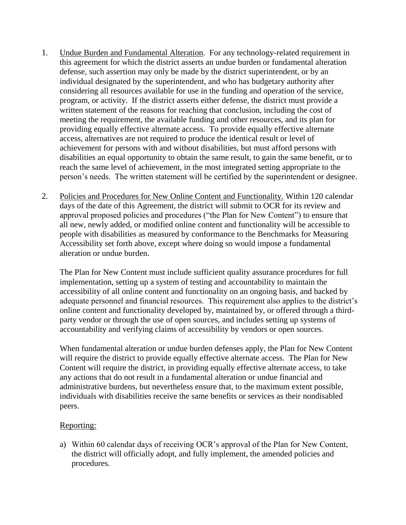- 1. Undue Burden and Fundamental Alteration. For any technology-related requirement in this agreement for which the district asserts an undue burden or fundamental alteration defense, such assertion may only be made by the district superintendent, or by an individual designated by the superintendent, and who has budgetary authority after considering all resources available for use in the funding and operation of the service, program, or activity. If the district asserts either defense, the district must provide a written statement of the reasons for reaching that conclusion, including the cost of meeting the requirement, the available funding and other resources, and its plan for providing equally effective alternate access. To provide equally effective alternate access, alternatives are not required to produce the identical result or level of achievement for persons with and without disabilities, but must afford persons with disabilities an equal opportunity to obtain the same result, to gain the same benefit, or to reach the same level of achievement, in the most integrated setting appropriate to the person's needs. The written statement will be certified by the superintendent or designee.
- 2. Policies and Procedures for New Online Content and Functionality*.* Within 120 calendar days of the date of this Agreement, the district will submit to OCR for its review and approval proposed policies and procedures ("the Plan for New Content") to ensure that all new, newly added, or modified online content and functionality will be accessible to people with disabilities as measured by conformance to the Benchmarks for Measuring Accessibility set forth above, except where doing so would impose a fundamental alteration or undue burden.

The Plan for New Content must include sufficient quality assurance procedures for full implementation, setting up a system of testing and accountability to maintain the accessibility of all online content and functionality on an ongoing basis, and backed by adequate personnel and financial resources. This requirement also applies to the district's online content and functionality developed by, maintained by, or offered through a thirdparty vendor or through the use of open sources, and includes setting up systems of accountability and verifying claims of accessibility by vendors or open sources.

When fundamental alteration or undue burden defenses apply, the Plan for New Content will require the district to provide equally effective alternate access. The Plan for New Content will require the district, in providing equally effective alternate access, to take any actions that do not result in a fundamental alteration or undue financial and administrative burdens, but nevertheless ensure that, to the maximum extent possible, individuals with disabilities receive the same benefits or services as their nondisabled peers.

## Reporting:

a) Within 60 calendar days of receiving OCR's approval of the Plan for New Content, the district will officially adopt, and fully implement, the amended policies and procedures.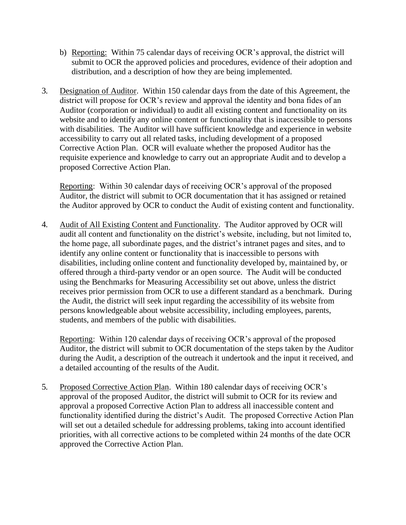- b) Reporting: Within 75 calendar days of receiving OCR's approval, the district will submit to OCR the approved policies and procedures, evidence of their adoption and distribution, and a description of how they are being implemented.
- 3. Designation of Auditor. Within 150 calendar days from the date of this Agreement, the district will propose for OCR's review and approval the identity and bona fides of an Auditor (corporation or individual) to audit all existing content and functionality on its website and to identify any online content or functionality that is inaccessible to persons with disabilities. The Auditor will have sufficient knowledge and experience in website accessibility to carry out all related tasks, including development of a proposed Corrective Action Plan. OCR will evaluate whether the proposed Auditor has the requisite experience and knowledge to carry out an appropriate Audit and to develop a proposed Corrective Action Plan.

Reporting: Within 30 calendar days of receiving OCR's approval of the proposed Auditor, the district will submit to OCR documentation that it has assigned or retained the Auditor approved by OCR to conduct the Audit of existing content and functionality.

4. Audit of All Existing Content and Functionality. The Auditor approved by OCR will audit all content and functionality on the district's website, including, but not limited to, the home page, all subordinate pages, and the district's intranet pages and sites, and to identify any online content or functionality that is inaccessible to persons with disabilities, including online content and functionality developed by, maintained by, or offered through a third-party vendor or an open source. The Audit will be conducted using the Benchmarks for Measuring Accessibility set out above, unless the district receives prior permission from OCR to use a different standard as a benchmark. During the Audit, the district will seek input regarding the accessibility of its website from persons knowledgeable about website accessibility, including employees, parents, students, and members of the public with disabilities.

Reporting: Within 120 calendar days of receiving OCR's approval of the proposed Auditor, the district will submit to OCR documentation of the steps taken by the Auditor during the Audit, a description of the outreach it undertook and the input it received, and a detailed accounting of the results of the Audit.

5. Proposed Corrective Action Plan. Within 180 calendar days of receiving OCR's approval of the proposed Auditor, the district will submit to OCR for its review and approval a proposed Corrective Action Plan to address all inaccessible content and functionality identified during the district's Audit. The proposed Corrective Action Plan will set out a detailed schedule for addressing problems, taking into account identified priorities, with all corrective actions to be completed within 24 months of the date OCR approved the Corrective Action Plan.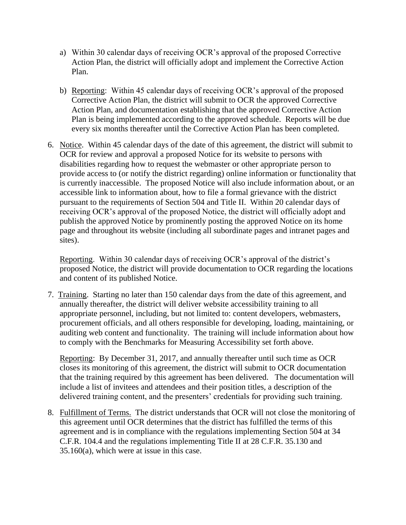- a) Within 30 calendar days of receiving OCR's approval of the proposed Corrective Action Plan, the district will officially adopt and implement the Corrective Action Plan.
- b) Reporting: Within 45 calendar days of receiving OCR's approval of the proposed Corrective Action Plan, the district will submit to OCR the approved Corrective Action Plan, and documentation establishing that the approved Corrective Action Plan is being implemented according to the approved schedule. Reports will be due every six months thereafter until the Corrective Action Plan has been completed.
- 6. Notice. Within 45 calendar days of the date of this agreement, the district will submit to OCR for review and approval a proposed Notice for its website to persons with disabilities regarding how to request the webmaster or other appropriate person to provide access to (or notify the district regarding) online information or functionality that is currently inaccessible. The proposed Notice will also include information about, or an accessible link to information about, how to file a formal grievance with the district pursuant to the requirements of Section 504 and Title II. Within 20 calendar days of receiving OCR's approval of the proposed Notice, the district will officially adopt and publish the approved Notice by prominently posting the approved Notice on its home page and throughout its website (including all subordinate pages and intranet pages and sites).

Reporting. Within 30 calendar days of receiving OCR's approval of the district's proposed Notice, the district will provide documentation to OCR regarding the locations and content of its published Notice.

7. Training. Starting no later than 150 calendar days from the date of this agreement, and annually thereafter, the district will deliver website accessibility training to all appropriate personnel, including, but not limited to: content developers, webmasters, procurement officials, and all others responsible for developing, loading, maintaining, or auditing web content and functionality. The training will include information about how to comply with the Benchmarks for Measuring Accessibility set forth above.

Reporting: By December 31, 2017, and annually thereafter until such time as OCR closes its monitoring of this agreement, the district will submit to OCR documentation that the training required by this agreement has been delivered. The documentation will include a list of invitees and attendees and their position titles, a description of the delivered training content, and the presenters' credentials for providing such training.

8. Fulfillment of Terms. The district understands that OCR will not close the monitoring of this agreement until OCR determines that the district has fulfilled the terms of this agreement and is in compliance with the regulations implementing Section 504 at 34 C.F.R. 104.4 and the regulations implementing Title II at 28 C.F.R. 35.130 and 35.160(a), which were at issue in this case.